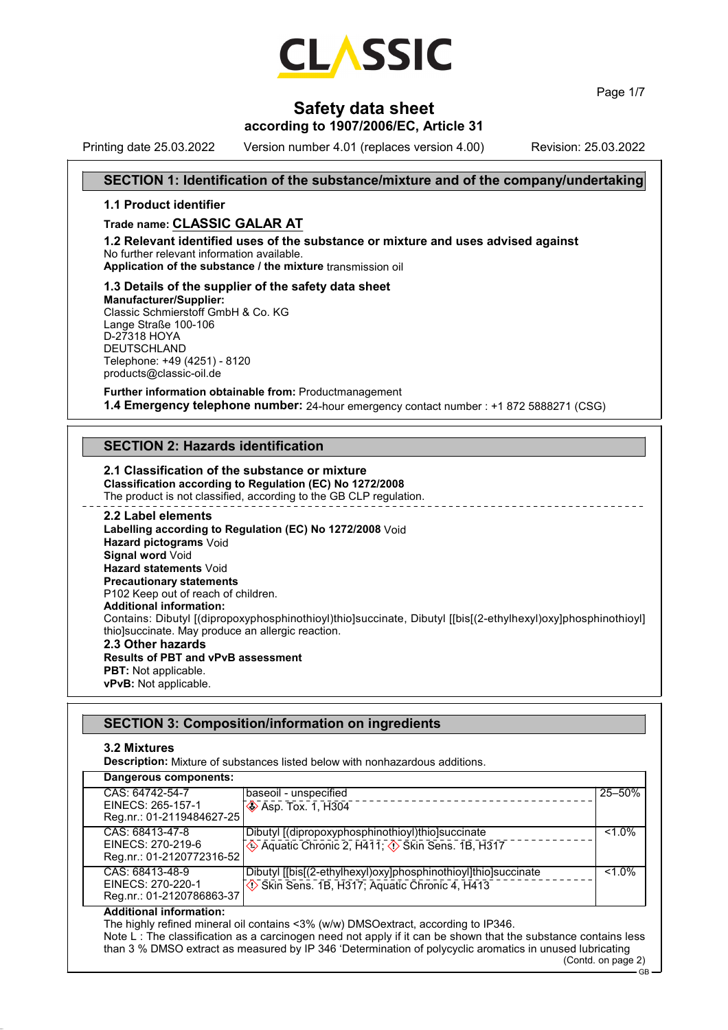

Page 1/7

## **Safety data sheet**

## **according to 1907/2006/EC, Article 31**

Printing date 25.03.2022 Version number 4.01 (replaces version 4.00) Revision: 25.03.2022

## **SECTION 1: Identification of the substance/mixture and of the company/undertaking**

#### **1.1 Product identifier**

### **Trade name: CLASSIC GALAR AT**

**1.2 Relevant identified uses of the substance or mixture and uses advised against** No further relevant information available.

**Application of the substance / the mixture** transmission oil

#### **1.3 Details of the supplier of the safety data sheet**

**Manufacturer/Supplier:** Classic Schmierstoff GmbH & Co. KG Lange Straße 100-106 D-27318 HOYA DEUTSCHLAND Telephone: +49 (4251) - 8120 products@classic-oil.de

**Further information obtainable from:** Productmanagement **1.4 Emergency telephone number:** 24-hour emergency contact number : +1 872 5888271 (CSG)

## **SECTION 2: Hazards identification**

#### **2.1 Classification of the substance or mixture Classification according to Regulation (EC) No 1272/2008** The product is not classified, according to the GB CLP regulation.

**2.2 Label elements Labelling according to Regulation (EC) No 1272/2008** Void **Hazard pictograms** Void **Signal word** Void **Hazard statements** Void **Precautionary statements** P102 Keep out of reach of children. **Additional information:** Contains: Dibutyl [(dipropoxyphosphinothioyl)thio]succinate, Dibutyl [[bis[(2-ethylhexyl)oxy]phosphinothioyl] thio]succinate. May produce an allergic reaction. **2.3 Other hazards Results of PBT and vPvB assessment PBT:** Not applicable.

**vPvB:** Not applicable.

|                                                                   | <b>SECTION 3: Composition/information on ingredients</b>                                                       |           |
|-------------------------------------------------------------------|----------------------------------------------------------------------------------------------------------------|-----------|
| 3.2 Mixtures                                                      | <b>Description:</b> Mixture of substances listed below with nonhazardous additions.                            |           |
| Dangerous components:                                             |                                                                                                                |           |
| CAS: 64742-54-7<br>EINECS: 265-157-1<br>Reg.nr.: 01-2119484627-25 | baseoil - unspecified<br><b>Asp. Tox. 1, H304</b>                                                              | 25-50%    |
| CAS: 68413-47-8<br>EINECS: 270-219-6<br>Reg.nr.: 01-2120772316-52 | Dibutyl [(dipropoxyphosphinothioyl)thio]succinate                                                              | $< 1.0\%$ |
| CAS: 68413-48-9<br>EINECS: 270-220-1                              | Dibutyl [[bis[(2-ethylhexyl)oxy]phosphinothioyl]thio]succinate<br>Skin Sens. 1B, H317; Aquatic Chronic 4, H413 | $< 1.0\%$ |

#### Reg.nr.: 01-2120786863-37 **Additional information:**

The highly refined mineral oil contains <3% (w/w) DMSOextract, according to IP346. Note L : The classification as a carcinogen need not apply if it can be shown that the substance contains less than 3 % DMSO extract as measured by IP 346 'Determination of polycyclic aromatics in unused lubricating (Contd. on page 2)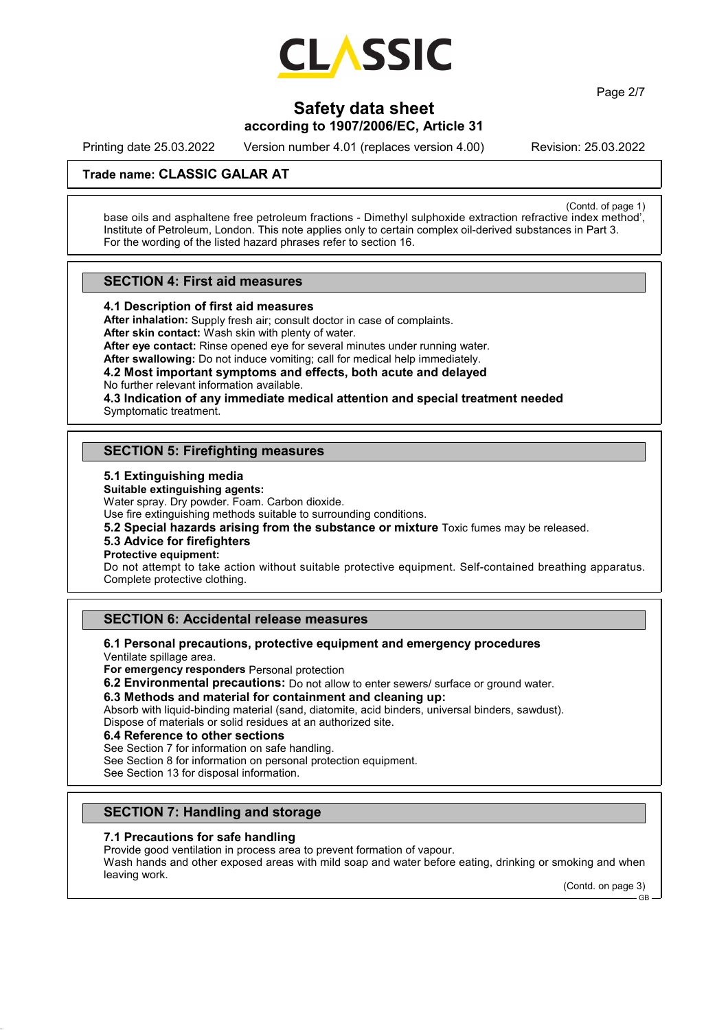

Page 2/7

# **Safety data sheet**

## **according to 1907/2006/EC, Article 31**

Printing date 25.03.2022 Version number 4.01 (replaces version 4.00) Revision: 25.03.2022

## **Trade name: CLASSIC GALAR AT**

(Contd. of page 1) base oils and asphaltene free petroleum fractions - Dimethyl sulphoxide extraction refractive index method', Institute of Petroleum, London. This note applies only to certain complex oil-derived substances in Part 3. For the wording of the listed hazard phrases refer to section 16.

### **SECTION 4: First aid measures**

**4.1 Description of first aid measures**

**After inhalation:** Supply fresh air; consult doctor in case of complaints. **After skin contact:** Wash skin with plenty of water.

**After eye contact:** Rinse opened eye for several minutes under running water.

**After swallowing:** Do not induce vomiting; call for medical help immediately.

# **4.2 Most important symptoms and effects, both acute and delayed**

No further relevant information available.

**4.3 Indication of any immediate medical attention and special treatment needed** Symptomatic treatment.

## **SECTION 5: Firefighting measures**

#### **5.1 Extinguishing media**

**Suitable extinguishing agents:**

Water spray. Dry powder. Foam. Carbon dioxide.

Use fire extinguishing methods suitable to surrounding conditions.

**5.2 Special hazards arising from the substance or mixture** Toxic fumes may be released.

#### **5.3 Advice for firefighters**

**Protective equipment:**

Do not attempt to take action without suitable protective equipment. Self-contained breathing apparatus. Complete protective clothing.

## **SECTION 6: Accidental release measures**

## **6.1 Personal precautions, protective equipment and emergency procedures**

Ventilate spillage area.

**For emergency responders** Personal protection

**6.2 Environmental precautions:** Do not allow to enter sewers/ surface or ground water.

### **6.3 Methods and material for containment and cleaning up:**

Absorb with liquid-binding material (sand, diatomite, acid binders, universal binders, sawdust). Dispose of materials or solid residues at an authorized site.

#### **6.4 Reference to other sections**

See Section 7 for information on safe handling.

See Section 8 for information on personal protection equipment.

See Section 13 for disposal information.

## **SECTION 7: Handling and storage**

#### **7.1 Precautions for safe handling**

Provide good ventilation in process area to prevent formation of vapour.

Wash hands and other exposed areas with mild soap and water before eating, drinking or smoking and when leaving work.

(Contd. on page 3)

GB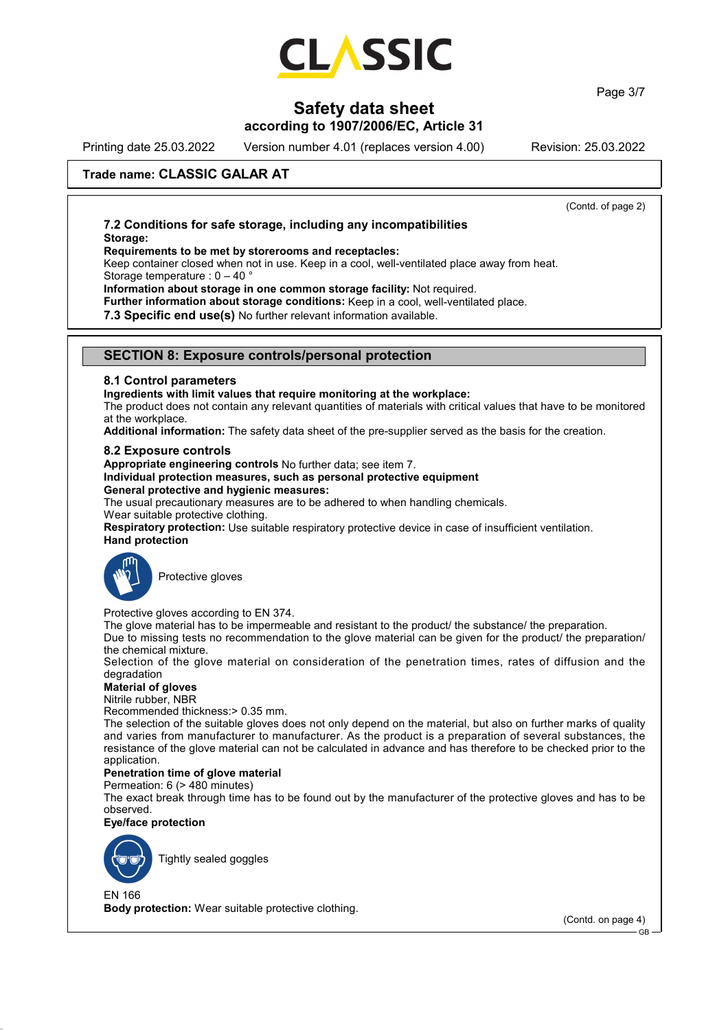

Page 3/7

## **Safety data sheet**

## **according to 1907/2006/EC, Article 31**

Printing date 25.03.2022 Version number 4.01 (replaces version 4.00) Revision: 25.03.2022

(Contd. of page 2)

## **Trade name: CLASSIC GALAR AT**

### **7.2 Conditions for safe storage, including any incompatibilities Storage:**

#### **Requirements to be met by storerooms and receptacles:**

Keep container closed when not in use. Keep in a cool, well-ventilated place away from heat. Storage temperature : 0 – 40 °

**Information about storage in one common storage facility:** Not required.

**Further information about storage conditions:** Keep in a cool, well-ventilated place.

**7.3 Specific end use(s)** No further relevant information available.

#### **SECTION 8: Exposure controls/personal protection**

#### **8.1 Control parameters**

#### **Ingredients with limit values that require monitoring at the workplace:**

The product does not contain any relevant quantities of materials with critical values that have to be monitored at the workplace.

**Additional information:** The safety data sheet of the pre-supplier served as the basis for the creation.

#### **8.2 Exposure controls**

**Appropriate engineering controls** No further data; see item 7.

#### **Individual protection measures, such as personal protective equipment General protective and hygienic measures:**

The usual precautionary measures are to be adhered to when handling chemicals.

Wear suitable protective clothing.

**Respiratory protection:** Use suitable respiratory protective device in case of insufficient ventilation. **Hand protection**



Protective gloves

Protective gloves according to EN 374.

The glove material has to be impermeable and resistant to the product/ the substance/ the preparation.

Due to missing tests no recommendation to the glove material can be given for the product/ the preparation/ the chemical mixture.

Selection of the glove material on consideration of the penetration times, rates of diffusion and the degradation

### **Material of gloves**

Nitrile rubber, NBR

Recommended thickness:> 0.35 mm.

The selection of the suitable gloves does not only depend on the material, but also on further marks of quality and varies from manufacturer to manufacturer. As the product is a preparation of several substances, the resistance of the glove material can not be calculated in advance and has therefore to be checked prior to the application.

#### **Penetration time of glove material**

Permeation: 6 (> 480 minutes)

The exact break through time has to be found out by the manufacturer of the protective gloves and has to be observed.

#### **Eye/face protection**



Tightly sealed goggles

EN 166 **Body protection:** Wear suitable protective clothing.

(Contd. on page 4)

GB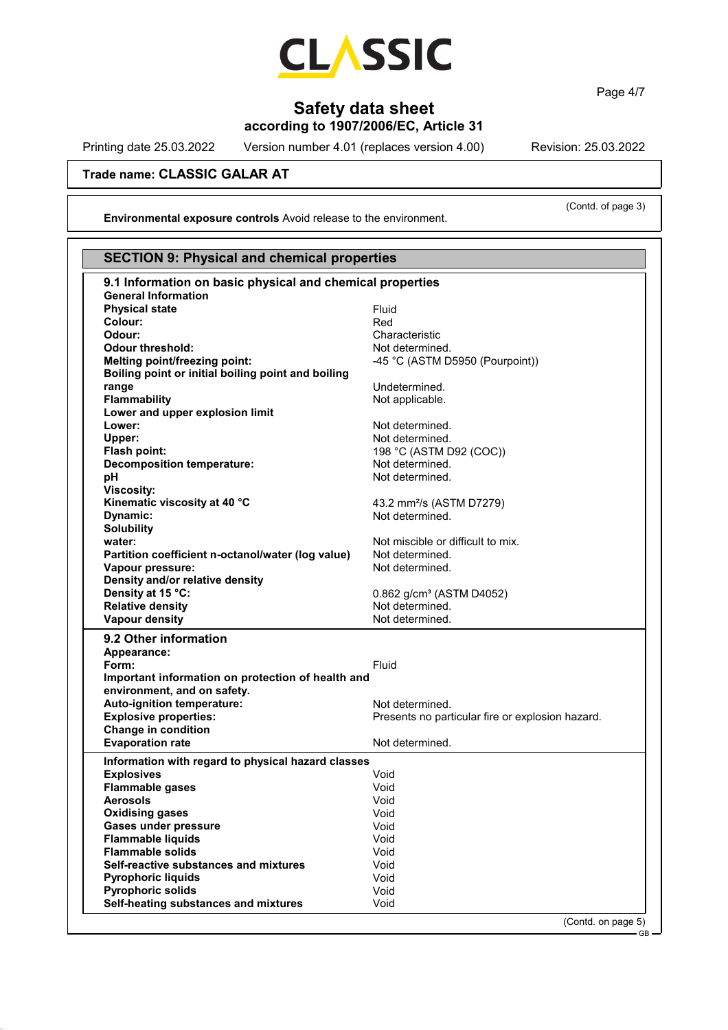

Page 4/7

# **Safety data sheet**

**according to 1907/2006/EC, Article 31**

Printing date 25.03.2022 Version number 4.01 (replaces version 4.00) Revision: 25.03.2022

**Trade name: CLASSIC GALAR AT**

**Environmental exposure controls** Avoid release to the environment.

(Contd. of page 3)

 $-$  GB

| 9.1 Information on basic physical and chemical properties<br>Fluid<br>Red<br>Characteristic<br>Not determined.<br>-45 °C (ASTM D5950 (Pourpoint))<br>Undetermined.<br>Not applicable.<br>Not determined.<br>Not determined.<br>198 °C (ASTM D92 (COC))<br>Not determined.<br>Not determined.<br>43.2 mm <sup>2</sup> /s (ASTM D7279)<br>Not determined. |
|---------------------------------------------------------------------------------------------------------------------------------------------------------------------------------------------------------------------------------------------------------------------------------------------------------------------------------------------------------|
|                                                                                                                                                                                                                                                                                                                                                         |
|                                                                                                                                                                                                                                                                                                                                                         |
|                                                                                                                                                                                                                                                                                                                                                         |
|                                                                                                                                                                                                                                                                                                                                                         |
|                                                                                                                                                                                                                                                                                                                                                         |
|                                                                                                                                                                                                                                                                                                                                                         |
|                                                                                                                                                                                                                                                                                                                                                         |
|                                                                                                                                                                                                                                                                                                                                                         |
|                                                                                                                                                                                                                                                                                                                                                         |
|                                                                                                                                                                                                                                                                                                                                                         |
|                                                                                                                                                                                                                                                                                                                                                         |
|                                                                                                                                                                                                                                                                                                                                                         |
|                                                                                                                                                                                                                                                                                                                                                         |
|                                                                                                                                                                                                                                                                                                                                                         |
|                                                                                                                                                                                                                                                                                                                                                         |
|                                                                                                                                                                                                                                                                                                                                                         |
|                                                                                                                                                                                                                                                                                                                                                         |
|                                                                                                                                                                                                                                                                                                                                                         |
|                                                                                                                                                                                                                                                                                                                                                         |
|                                                                                                                                                                                                                                                                                                                                                         |
|                                                                                                                                                                                                                                                                                                                                                         |
| Not miscible or difficult to mix.                                                                                                                                                                                                                                                                                                                       |
| Not determined.                                                                                                                                                                                                                                                                                                                                         |
| Not determined.                                                                                                                                                                                                                                                                                                                                         |
|                                                                                                                                                                                                                                                                                                                                                         |
| 0.862 g/cm <sup>3</sup> (ASTM D4052)                                                                                                                                                                                                                                                                                                                    |
| Not determined.                                                                                                                                                                                                                                                                                                                                         |
| Not determined.                                                                                                                                                                                                                                                                                                                                         |
|                                                                                                                                                                                                                                                                                                                                                         |
|                                                                                                                                                                                                                                                                                                                                                         |
| Fluid                                                                                                                                                                                                                                                                                                                                                   |
| Important information on protection of health and                                                                                                                                                                                                                                                                                                       |
|                                                                                                                                                                                                                                                                                                                                                         |
| Not determined.                                                                                                                                                                                                                                                                                                                                         |
| Presents no particular fire or explosion hazard.                                                                                                                                                                                                                                                                                                        |
|                                                                                                                                                                                                                                                                                                                                                         |
| Not determined.                                                                                                                                                                                                                                                                                                                                         |
|                                                                                                                                                                                                                                                                                                                                                         |
| Information with regard to physical hazard classes                                                                                                                                                                                                                                                                                                      |
| Void                                                                                                                                                                                                                                                                                                                                                    |
| Void                                                                                                                                                                                                                                                                                                                                                    |
| Void                                                                                                                                                                                                                                                                                                                                                    |
| Void                                                                                                                                                                                                                                                                                                                                                    |
| Void                                                                                                                                                                                                                                                                                                                                                    |
| Void                                                                                                                                                                                                                                                                                                                                                    |
| Void                                                                                                                                                                                                                                                                                                                                                    |
| Void                                                                                                                                                                                                                                                                                                                                                    |
| Void                                                                                                                                                                                                                                                                                                                                                    |
| Void                                                                                                                                                                                                                                                                                                                                                    |
| Void                                                                                                                                                                                                                                                                                                                                                    |
|                                                                                                                                                                                                                                                                                                                                                         |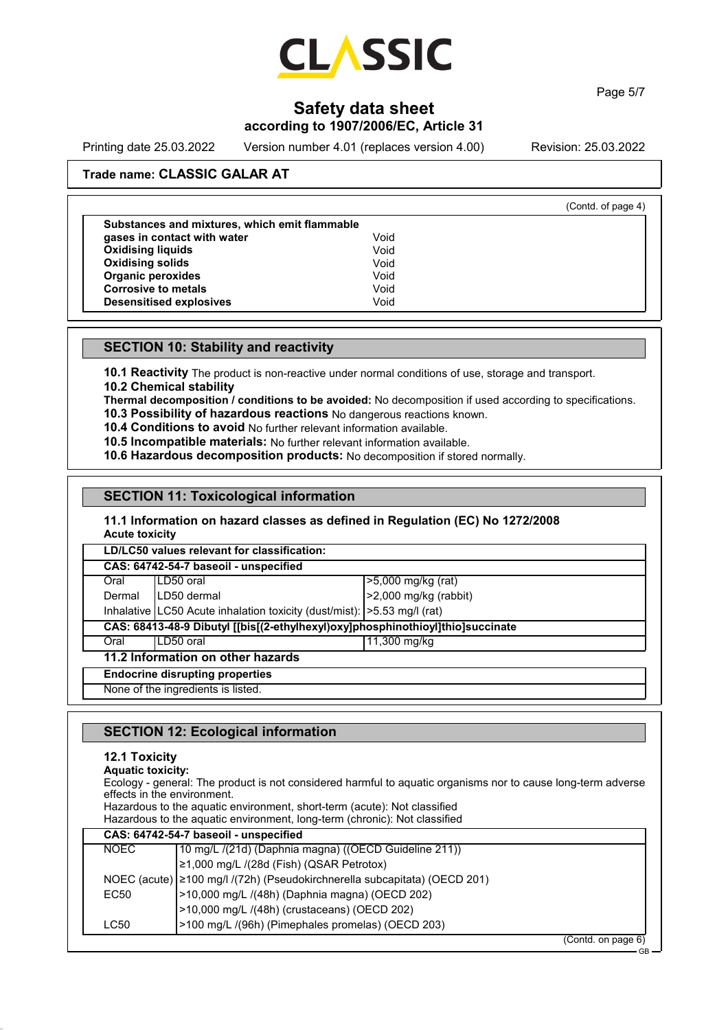

Page 5/7

# **Safety data sheet**

## **according to 1907/2006/EC, Article 31**

Printing date 25.03.2022 Version number 4.01 (replaces version 4.00) Revision: 25.03.2022

(Contd. of page 4)

GB

## **Trade name: CLASSIC GALAR AT**

| Substances and mixtures, which emit flammable |      |
|-----------------------------------------------|------|
| gases in contact with water                   | Void |
| <b>Oxidising liquids</b>                      | Void |
| <b>Oxidising solids</b>                       | Void |
| <b>Organic peroxides</b>                      | Void |
| <b>Corrosive to metals</b>                    | Void |
| <b>Desensitised explosives</b>                | Void |

## **SECTION 10: Stability and reactivity**

**10.1 Reactivity** The product is non-reactive under normal conditions of use, storage and transport.

**10.2 Chemical stability**

**Thermal decomposition / conditions to be avoided:** No decomposition if used according to specifications.

- **10.3 Possibility of hazardous reactions** No dangerous reactions known.
- **10.4 Conditions to avoid** No further relevant information available.

**10.5 Incompatible materials:** No further relevant information available.

**10.6 Hazardous decomposition products:** No decomposition if stored normally.

### **SECTION 11: Toxicological information**

#### **11.1 Information on hazard classes as defined in Regulation (EC) No 1272/2008 Acute toxicity**

**LD/LC50 values relevant for classification:**

| CAS: 64742-54-7 baseoil - unspecified                                          |                                                                            |                         |
|--------------------------------------------------------------------------------|----------------------------------------------------------------------------|-------------------------|
| Oral                                                                           | LD50 oral                                                                  | >5,000 mg/kg (rat)      |
| Dermal                                                                         | II D50 dermal                                                              | $>2,000$ mg/kg (rabbit) |
|                                                                                | Inhalative LC50 Acute inhalation toxicity (dust/mist):   > 5.53 mg/l (rat) |                         |
| CAS: 68413-48-9 Dibutyl [[bis[(2-ethylhexyl)oxy]phosphinothioyl]thio]succinate |                                                                            |                         |
| Oral                                                                           | LD50 oral                                                                  | 11,300 mg/kg            |
| 11.2 Information on other hazards                                              |                                                                            |                         |
| <b>Endocrine disrupting properties</b>                                         |                                                                            |                         |
| None of the ingredients is listed.                                             |                                                                            |                         |

## **SECTION 12: Ecological information**

## **12.1 Toxicity**

| <b>Aquatic toxicity:</b><br>effects in the environment. | Ecology - general: The product is not considered harmful to aquatic organisms nor to cause long-term adverse<br>Hazardous to the aquatic environment, short-term (acute): Not classified<br>Hazardous to the aquatic environment, long-term (chronic): Not classified |
|---------------------------------------------------------|-----------------------------------------------------------------------------------------------------------------------------------------------------------------------------------------------------------------------------------------------------------------------|
|                                                         | CAS: 64742-54-7 baseoil - unspecified                                                                                                                                                                                                                                 |
| <b>NOEC</b>                                             | 10 mg/L /(21d) (Daphnia magna) ((OECD Guideline 211))                                                                                                                                                                                                                 |
|                                                         | ≥1,000 mg/L /(28d (Fish) (QSAR Petrotox)                                                                                                                                                                                                                              |
|                                                         | NOEC (acute)   ≥100 mg/l /(72h) (Pseudokirchnerella subcapitata) (OECD 201)                                                                                                                                                                                           |
| EC <sub>50</sub>                                        | >10,000 mg/L /(48h) (Daphnia magna) (OECD 202)                                                                                                                                                                                                                        |
|                                                         | >10,000 mg/L /(48h) (crustaceans) (OECD 202)                                                                                                                                                                                                                          |
| LC50                                                    | >100 mg/L /(96h) (Pimephales promelas) (OECD 203)                                                                                                                                                                                                                     |
|                                                         | (Contd. on page 6)                                                                                                                                                                                                                                                    |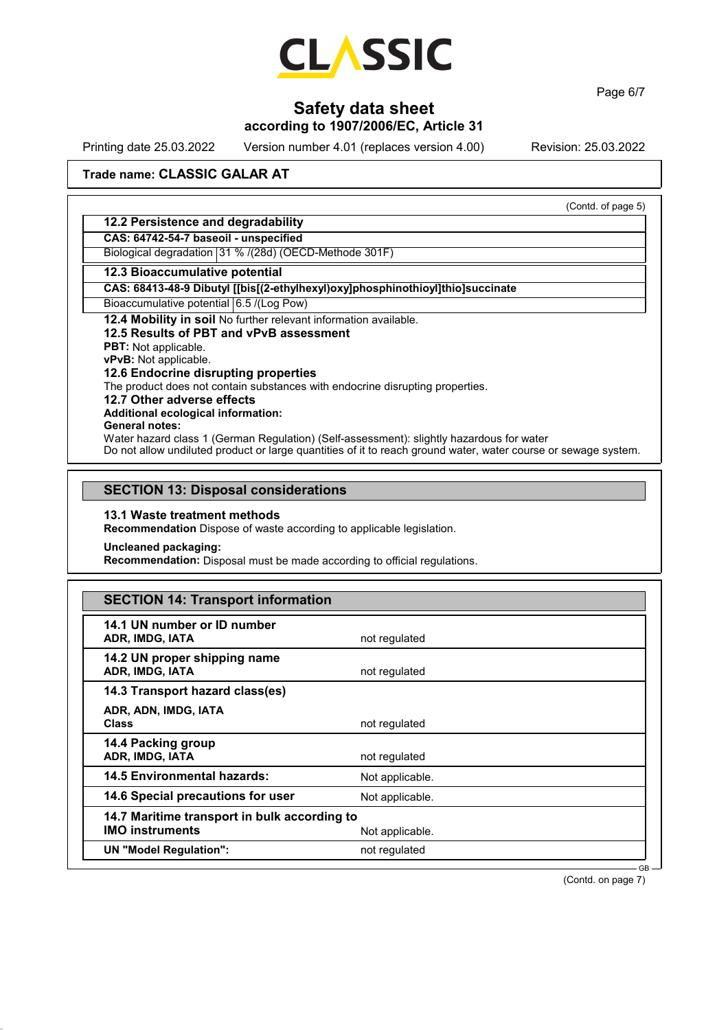

Page 6/7

# **Safety data sheet**

# **according to 1907/2006/EC, Article 31**

Printing date 25.03.2022 Version number 4.01 (replaces version 4.00) Revision: 25.03.2022

## **Trade name: CLASSIC GALAR AT**

|                                                                                                                | (Contd. of page 5) |
|----------------------------------------------------------------------------------------------------------------|--------------------|
| 12.2 Persistence and degradability                                                                             |                    |
| CAS: 64742-54-7 baseoil - unspecified                                                                          |                    |
| Biological degradation 31 % /(28d) (OECD-Methode 301F)                                                         |                    |
| 12.3 Bioaccumulative potential                                                                                 |                    |
| CAS: 68413-48-9 Dibutyl [[bis[(2-ethylhexyl)oxy]phosphinothioyl]thio]succinate                                 |                    |
| Bioaccumulative potential 6.5 /(Log Pow)                                                                       |                    |
| 12.4 Mobility in soil No further relevant information available.                                               |                    |
| 12.5 Results of PBT and vPvB assessment                                                                        |                    |
| <b>PBT:</b> Not applicable.                                                                                    |                    |
| <b>vPvB:</b> Not applicable.                                                                                   |                    |
| 12.6 Endocrine disrupting properties                                                                           |                    |
| The product does not contain substances with endocrine disrupting properties.                                  |                    |
| 12.7 Other adverse effects                                                                                     |                    |
| Additional ecological information:                                                                             |                    |
| General notes:                                                                                                 |                    |
| Water hazard class 1 (German Regulation) (Self-assessment): slightly hazardous for water                       |                    |
| Do not allow undiluted product or large quantities of it to reach ground water, water course or sewage system. |                    |

## **SECTION 13: Disposal considerations**

#### **13.1 Waste treatment methods**

**Recommendation** Dispose of waste according to applicable legislation.

**Uncleaned packaging:**

**Recommendation:** Disposal must be made according to official regulations.

| <b>SECTION 14: Transport information</b> |  |
|------------------------------------------|--|
|------------------------------------------|--|

| 14.1 UN number or ID number<br>ADR, IMDG, IATA                         | not regulated   |        |
|------------------------------------------------------------------------|-----------------|--------|
| 14.2 UN proper shipping name<br>ADR, IMDG, IATA                        | not regulated   |        |
| 14.3 Transport hazard class(es)                                        |                 |        |
| ADR, ADN, IMDG, IATA<br><b>Class</b>                                   | not regulated   |        |
| 14.4 Packing group<br>ADR, IMDG, IATA                                  | not regulated   |        |
| 14.5 Environmental hazards:                                            | Not applicable. |        |
| 14.6 Special precautions for user                                      | Not applicable. |        |
| 14.7 Maritime transport in bulk according to<br><b>IMO instruments</b> | Not applicable. |        |
| <b>UN "Model Regulation":</b>                                          | not regulated   |        |
|                                                                        |                 | $GB -$ |

(Contd. on page 7)